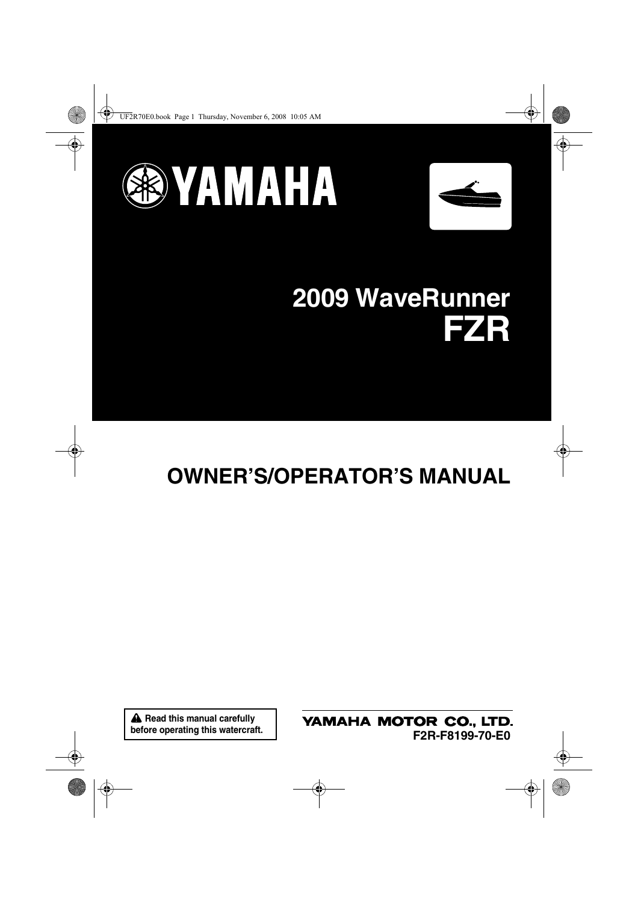



## **2009 WaveRunner FZR**

## **OWNER'S/OPERATOR'S MANUAL**

**A** Read this manual carefully **before operating this watercraft.** YAMAHA MOTOR CO., LTD. **F2R-F8199-70-E0**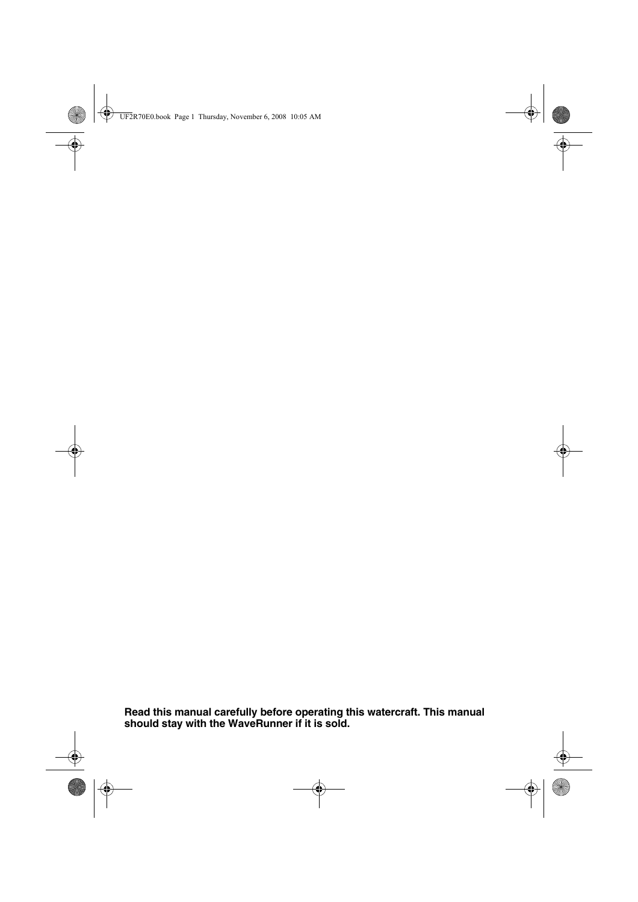**Read this manual carefully before operating this watercraft. This manual should stay with the WaveRunner if it is sold.**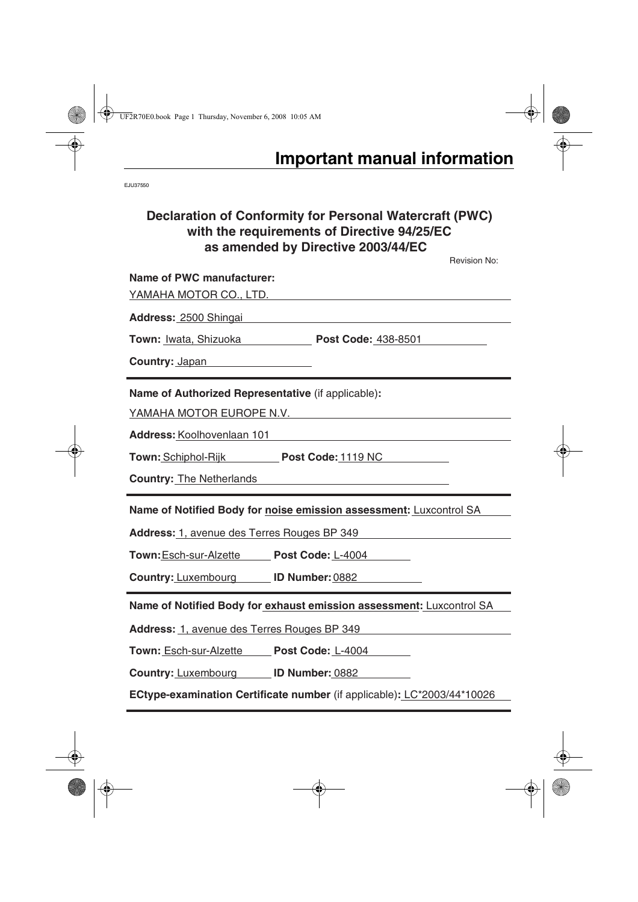EJU37550

## **Declaration of Conformity for Personal Watercraft (PWC) with the requirements of Directive 94/25/EC as amended by Directive 2003/44/EC**

**Name of Notified Body for exhaust emission assessment:** Luxcontrol SA Revision No: **Name of PWC manufacturer:**  YAMAHA MOTOR CO., LTD. **Address:** 2500 Shingai **Town:** Iwata, Shizuoka **Post Code:** 438-8501 **Country:** Japan **Name of Authorized Representative** (if applicable)**:**  YAMAHA MOTOR EUROPE N.V. **Address:** Koolhovenlaan 101 **Town:** Schiphol-Rijk **Post Code:** 1119 NC **Country:** The Netherlands **Name of Notified Body for noise emission assessment:** Luxcontrol SA **Address:** 1, avenue des Terres Rouges BP 349 **Town:**Esch-sur-Alzette **Post Code:** L-4004 **Country:** Luxembourg **ID Number:** 0882

**Address:** 1, avenue des Terres Rouges BP 349

**Town:** Esch-sur-Alzette **Post Code:** L-4004

**Country:** Luxembourg **ID Number:** 0882

**ECtype-examination Certificate number** (if applicable)**:** LC\*2003/44\*10026